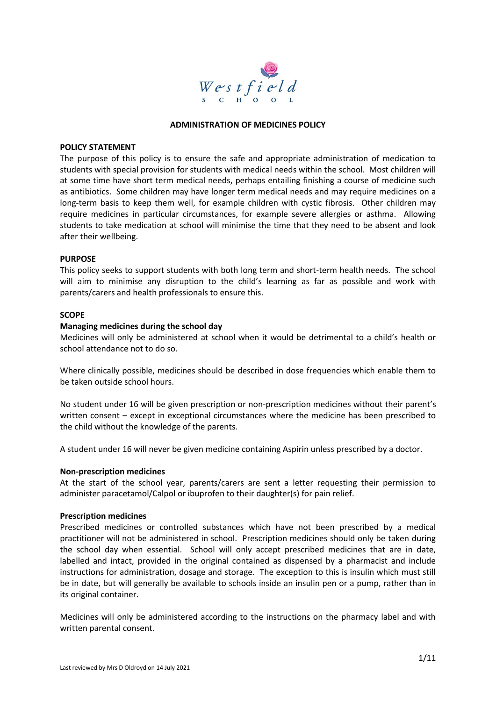

#### **ADMINISTRATION OF MEDICINES POLICY**

#### **POLICY STATEMENT**

The purpose of this policy is to ensure the safe and appropriate administration of medication to students with special provision for students with medical needs within the school. Most children will at some time have short term medical needs, perhaps entailing finishing a course of medicine such as antibiotics. Some children may have longer term medical needs and may require medicines on a long-term basis to keep them well, for example children with cystic fibrosis. Other children may require medicines in particular circumstances, for example severe allergies or asthma. Allowing students to take medication at school will minimise the time that they need to be absent and look after their wellbeing.

#### **PURPOSE**

This policy seeks to support students with both long term and short-term health needs. The school will aim to minimise any disruption to the child's learning as far as possible and work with parents/carers and health professionals to ensure this.

#### **SCOPE**

#### **Managing medicines during the school day**

Medicines will only be administered at school when it would be detrimental to a child's health or school attendance not to do so.

Where clinically possible, medicines should be described in dose frequencies which enable them to be taken outside school hours.

No student under 16 will be given prescription or non-prescription medicines without their parent's written consent – except in exceptional circumstances where the medicine has been prescribed to the child without the knowledge of the parents.

A student under 16 will never be given medicine containing Aspirin unless prescribed by a doctor.

#### **Non-prescription medicines**

At the start of the school year, parents/carers are sent a letter requesting their permission to administer paracetamol/Calpol or ibuprofen to their daughter(s) for pain relief.

#### **Prescription medicines**

Prescribed medicines or controlled substances which have not been prescribed by a medical practitioner will not be administered in school. Prescription medicines should only be taken during the school day when essential. School will only accept prescribed medicines that are in date, labelled and intact, provided in the original contained as dispensed by a pharmacist and include instructions for administration, dosage and storage. The exception to this is insulin which must still be in date, but will generally be available to schools inside an insulin pen or a pump, rather than in its original container.

Medicines will only be administered according to the instructions on the pharmacy label and with written parental consent.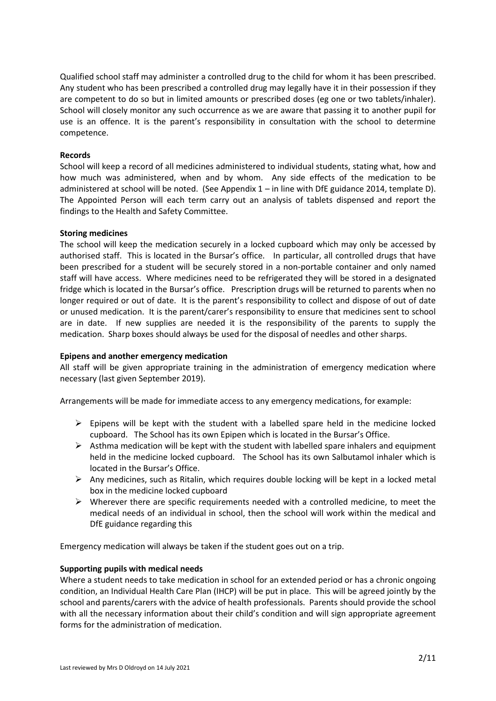Qualified school staff may administer a controlled drug to the child for whom it has been prescribed. Any student who has been prescribed a controlled drug may legally have it in their possession if they are competent to do so but in limited amounts or prescribed doses (eg one or two tablets/inhaler). School will closely monitor any such occurrence as we are aware that passing it to another pupil for use is an offence. It is the parent's responsibility in consultation with the school to determine competence.

### **Records**

School will keep a record of all medicines administered to individual students, stating what, how and how much was administered, when and by whom. Any side effects of the medication to be administered at school will be noted. (See Appendix 1 – in line with DfE guidance 2014, template D). The Appointed Person will each term carry out an analysis of tablets dispensed and report the findings to the Health and Safety Committee.

### **Storing medicines**

The school will keep the medication securely in a locked cupboard which may only be accessed by authorised staff. This is located in the Bursar's office. In particular, all controlled drugs that have been prescribed for a student will be securely stored in a non-portable container and only named staff will have access. Where medicines need to be refrigerated they will be stored in a designated fridge which is located in the Bursar's office. Prescription drugs will be returned to parents when no longer required or out of date. It is the parent's responsibility to collect and dispose of out of date or unused medication. It is the parent/carer's responsibility to ensure that medicines sent to school are in date. If new supplies are needed it is the responsibility of the parents to supply the medication. Sharp boxes should always be used for the disposal of needles and other sharps.

### **Epipens and another emergency medication**

All staff will be given appropriate training in the administration of emergency medication where necessary (last given September 2019).

Arrangements will be made for immediate access to any emergency medications, for example:

- $\triangleright$  Epipens will be kept with the student with a labelled spare held in the medicine locked cupboard. The School has its own Epipen which is located in the Bursar's Office.
- $\triangleright$  Asthma medication will be kept with the student with labelled spare inhalers and equipment held in the medicine locked cupboard. The School has its own Salbutamol inhaler which is located in the Bursar's Office.
- $\triangleright$  Any medicines, such as Ritalin, which requires double locking will be kept in a locked metal box in the medicine locked cupboard
- $\triangleright$  Wherever there are specific requirements needed with a controlled medicine, to meet the medical needs of an individual in school, then the school will work within the medical and DfE guidance regarding this

Emergency medication will always be taken if the student goes out on a trip.

### **Supporting pupils with medical needs**

Where a student needs to take medication in school for an extended period or has a chronic ongoing condition, an Individual Health Care Plan (IHCP) will be put in place. This will be agreed jointly by the school and parents/carers with the advice of health professionals. Parents should provide the school with all the necessary information about their child's condition and will sign appropriate agreement forms for the administration of medication.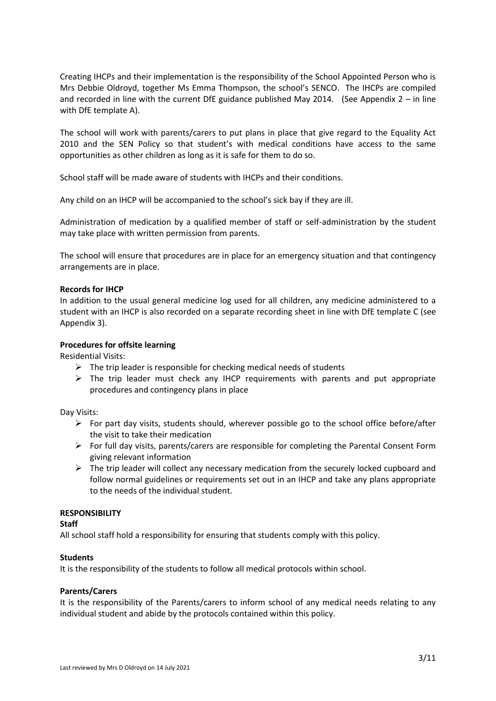Creating IHCPs and their implementation is the responsibility of the School Appointed Person who is Mrs Debbie Oldroyd, together Ms Emma Thompson, the school's SENCO. The IHCPs are compiled and recorded in line with the current DfE guidance published May 2014. (See Appendix  $2 - in$  line with DfE template A).

The school will work with parents/carers to put plans in place that give regard to the Equality Act 2010 and the SEN Policy so that student's with medical conditions have access to the same opportunities as other children as long as it is safe for them to do so.

School staff will be made aware of students with IHCPs and their conditions.

Any child on an IHCP will be accompanied to the school's sick bay if they are ill.

Administration of medication by a qualified member of staff or self-administration by the student may take place with written permission from parents.

The school will ensure that procedures are in place for an emergency situation and that contingency arrangements are in place.

#### **Records for IHCP**

In addition to the usual general medicine log used for all children, any medicine administered to a student with an IHCP is also recorded on a separate recording sheet in line with DfE template C (see Appendix 3).

#### **Procedures for offsite learning**

Residential Visits:

- $\triangleright$  The trip leader is responsible for checking medical needs of students
- $\triangleright$  The trip leader must check any IHCP requirements with parents and put appropriate procedures and contingency plans in place

Day Visits:

- $\triangleright$  For part day visits, students should, wherever possible go to the school office before/after the visit to take their medication
- $\triangleright$  For full day visits, parents/carers are responsible for completing the Parental Consent Form giving relevant information
- $\triangleright$  The trip leader will collect any necessary medication from the securely locked cupboard and follow normal guidelines or requirements set out in an IHCP and take any plans appropriate to the needs of the individual student.

### **RESPONSIBILITY**

### **Staff**

All school staff hold a responsibility for ensuring that students comply with this policy.

#### **Students**

It is the responsibility of the students to follow all medical protocols within school.

### **Parents/Carers**

It is the responsibility of the Parents/carers to inform school of any medical needs relating to any individual student and abide by the protocols contained within this policy.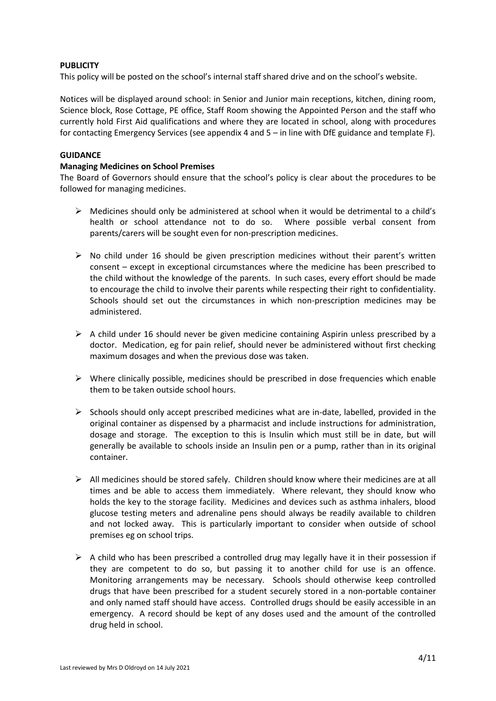## **PUBLICITY**

This policy will be posted on the school's internal staff shared drive and on the school's website.

Notices will be displayed around school: in Senior and Junior main receptions, kitchen, dining room, Science block, Rose Cottage, PE office, Staff Room showing the Appointed Person and the staff who currently hold First Aid qualifications and where they are located in school, along with procedures for contacting Emergency Services (see appendix 4 and 5 – in line with DfE guidance and template F).

## **GUIDANCE**

## **Managing Medicines on School Premises**

The Board of Governors should ensure that the school's policy is clear about the procedures to be followed for managing medicines.

- $\triangleright$  Medicines should only be administered at school when it would be detrimental to a child's health or school attendance not to do so. Where possible verbal consent from parents/carers will be sought even for non-prescription medicines.
- $\triangleright$  No child under 16 should be given prescription medicines without their parent's written consent – except in exceptional circumstances where the medicine has been prescribed to the child without the knowledge of the parents. In such cases, every effort should be made to encourage the child to involve their parents while respecting their right to confidentiality. Schools should set out the circumstances in which non-prescription medicines may be administered.
- $\triangleright$  A child under 16 should never be given medicine containing Aspirin unless prescribed by a doctor. Medication, eg for pain relief, should never be administered without first checking maximum dosages and when the previous dose was taken.
- $\triangleright$  Where clinically possible, medicines should be prescribed in dose frequencies which enable them to be taken outside school hours.
- $\triangleright$  Schools should only accept prescribed medicines what are in-date, labelled, provided in the original container as dispensed by a pharmacist and include instructions for administration, dosage and storage. The exception to this is Insulin which must still be in date, but will generally be available to schools inside an Insulin pen or a pump, rather than in its original container.
- $\triangleright$  All medicines should be stored safely. Children should know where their medicines are at all times and be able to access them immediately. Where relevant, they should know who holds the key to the storage facility. Medicines and devices such as asthma inhalers, blood glucose testing meters and adrenaline pens should always be readily available to children and not locked away. This is particularly important to consider when outside of school premises eg on school trips.
- $\triangleright$  A child who has been prescribed a controlled drug may legally have it in their possession if they are competent to do so, but passing it to another child for use is an offence. Monitoring arrangements may be necessary. Schools should otherwise keep controlled drugs that have been prescribed for a student securely stored in a non-portable container and only named staff should have access. Controlled drugs should be easily accessible in an emergency. A record should be kept of any doses used and the amount of the controlled drug held in school.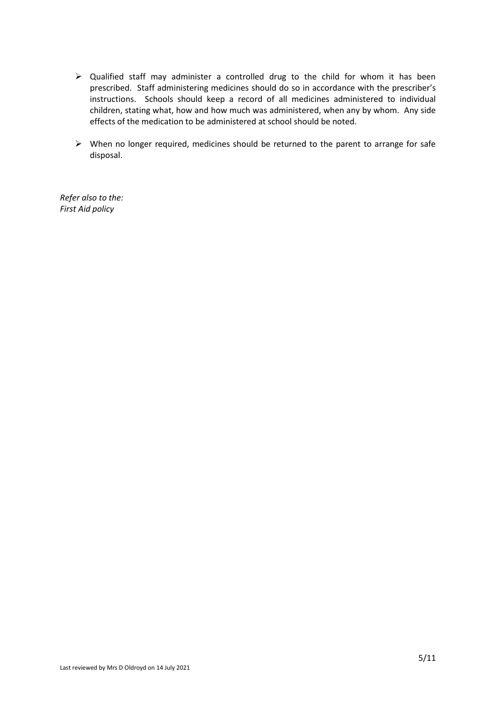- ➢ Qualified staff may administer a controlled drug to the child for whom it has been prescribed. Staff administering medicines should do so in accordance with the prescriber's instructions. Schools should keep a record of all medicines administered to individual children, stating what, how and how much was administered, when any by whom. Any side effects of the medication to be administered at school should be noted.
- ➢ When no longer required, medicines should be returned to the parent to arrange for safe disposal.

*Refer also to the: First Aid policy*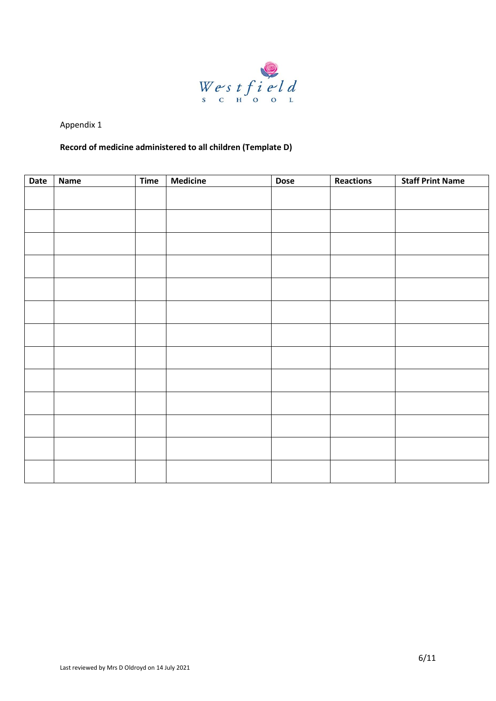

## **Record of medicine administered to all children (Template D)**

| Date | <b>Name</b> | Time | <b>Medicine</b> | <b>Dose</b> | Reactions | <b>Staff Print Name</b> |
|------|-------------|------|-----------------|-------------|-----------|-------------------------|
|      |             |      |                 |             |           |                         |
|      |             |      |                 |             |           |                         |
|      |             |      |                 |             |           |                         |
|      |             |      |                 |             |           |                         |
|      |             |      |                 |             |           |                         |
|      |             |      |                 |             |           |                         |
|      |             |      |                 |             |           |                         |
|      |             |      |                 |             |           |                         |
|      |             |      |                 |             |           |                         |
|      |             |      |                 |             |           |                         |
|      |             |      |                 |             |           |                         |
|      |             |      |                 |             |           |                         |
|      |             |      |                 |             |           |                         |
|      |             |      |                 |             |           |                         |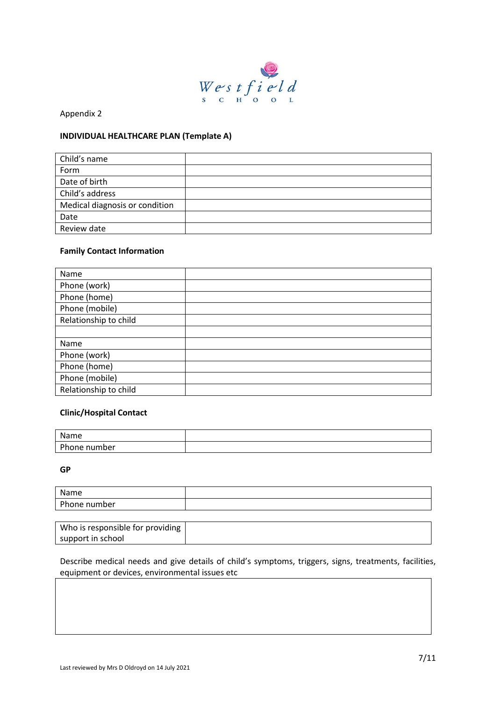

### **INDIVIDUAL HEALTHCARE PLAN (Template A)**

| Child's name                   |  |
|--------------------------------|--|
| Form                           |  |
| Date of birth                  |  |
| Child's address                |  |
| Medical diagnosis or condition |  |
| Date                           |  |
| Review date                    |  |

## **Family Contact Information**

| Name                  |  |
|-----------------------|--|
| Phone (work)          |  |
| Phone (home)          |  |
| Phone (mobile)        |  |
| Relationship to child |  |
|                       |  |
| Name                  |  |
| Phone (work)          |  |
| Phone (home)          |  |
| Phone (mobile)        |  |
| Relationship to child |  |

### **Clinic/Hospital Contact**

| Nome<br>ше                |  |
|---------------------------|--|
| <b>Dh</b><br>hone number? |  |

**GP**

| Name         |  |
|--------------|--|
| Phone number |  |

| Who is responsible for providing |  |
|----------------------------------|--|
| support in school                |  |

Describe medical needs and give details of child's symptoms, triggers, signs, treatments, facilities, equipment or devices, environmental issues etc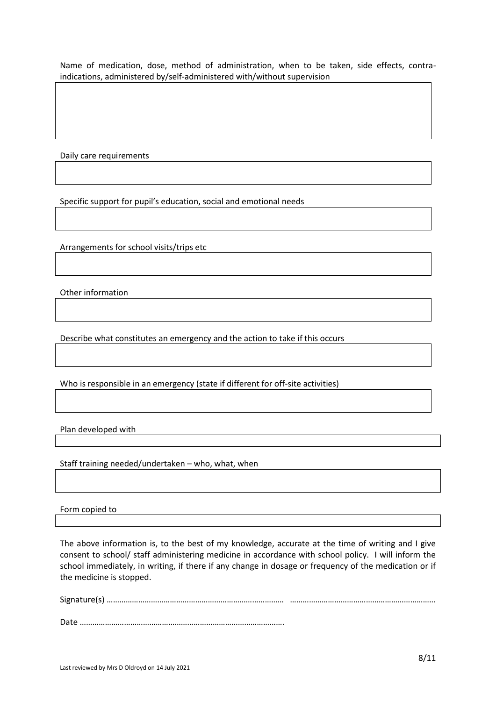Name of medication, dose, method of administration, when to be taken, side effects, contraindications, administered by/self-administered with/without supervision

Daily care requirements

Specific support for pupil's education, social and emotional needs

Arrangements for school visits/trips etc

Other information

Describe what constitutes an emergency and the action to take if this occurs

Who is responsible in an emergency (state if different for off-site activities)

Plan developed with

Staff training needed/undertaken – who, what, when

Form copied to

The above information is, to the best of my knowledge, accurate at the time of writing and I give consent to school/ staff administering medicine in accordance with school policy. I will inform the school immediately, in writing, if there if any change in dosage or frequency of the medication or if the medicine is stopped.

Signature(s) ………………………………………………………………………… ……………………………………………………………

Date …………………………………………………………………………………….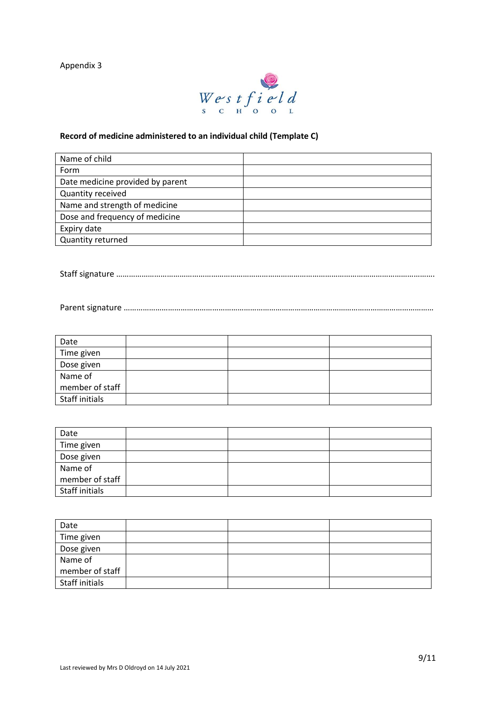

## **Record of medicine administered to an individual child (Template C)**

| Name of child                    |  |
|----------------------------------|--|
| Form                             |  |
| Date medicine provided by parent |  |
| Quantity received                |  |
| Name and strength of medicine    |  |
| Dose and frequency of medicine   |  |
| Expiry date                      |  |
| <b>Quantity returned</b>         |  |

Staff signature …………………………………………………………………………………………………………………………………….

Parent signature …………………………………………………………………………………………………………………………………

| Date            |  |  |
|-----------------|--|--|
| Time given      |  |  |
| Dose given      |  |  |
| Name of         |  |  |
| member of staff |  |  |
| Staff initials  |  |  |

| Date            |  |  |
|-----------------|--|--|
| Time given      |  |  |
| Dose given      |  |  |
| Name of         |  |  |
| member of staff |  |  |
| Staff initials  |  |  |

| Date            |  |  |
|-----------------|--|--|
| Time given      |  |  |
| Dose given      |  |  |
| Name of         |  |  |
| member of staff |  |  |
| Staff initials  |  |  |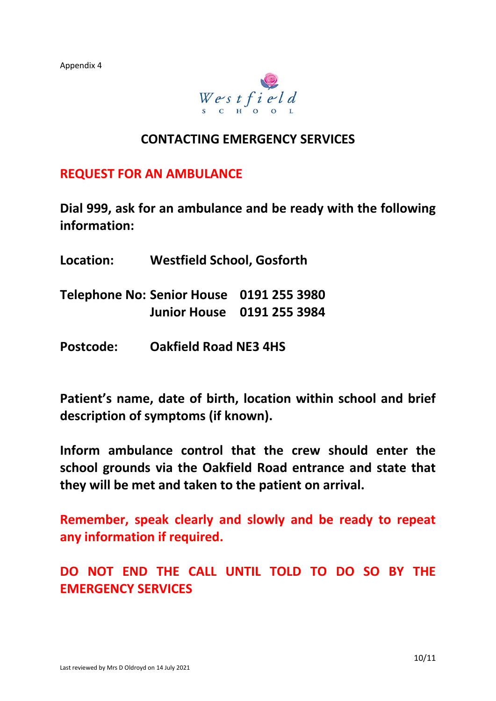

# **CONTACTING EMERGENCY SERVICES**

**REQUEST FOR AN AMBULANCE**

**Dial 999, ask for an ambulance and be ready with the following information:**

- **Location: Westfield School, Gosforth**
- **Telephone No: Senior House 0191 255 3980 Junior House 0191 255 3984**
- **Postcode: Oakfield Road NE3 4HS**

**Patient's name, date of birth, location within school and brief description of symptoms (if known).**

**Inform ambulance control that the crew should enter the school grounds via the Oakfield Road entrance and state that they will be met and taken to the patient on arrival.**

**Remember, speak clearly and slowly and be ready to repeat any information if required.**

**DO NOT END THE CALL UNTIL TOLD TO DO SO BY THE EMERGENCY SERVICES**